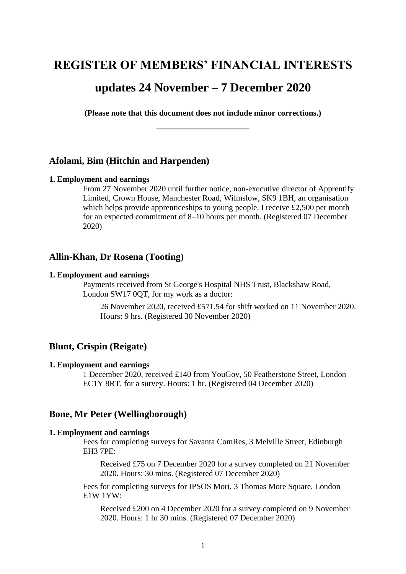# **REGISTER OF MEMBERS' FINANCIAL INTERESTS**

# **updates 24 November – 7 December 2020**

**(Please note that this document does not include minor corrections.) \_\_\_\_\_\_\_\_\_\_\_\_\_\_\_\_\_**

## **Afolami, Bim (Hitchin and Harpenden)**

#### **1. Employment and earnings**

From 27 November 2020 until further notice, non-executive director of Apprentify Limited, Crown House, Manchester Road, Wilmslow, SK9 1BH, an organisation which helps provide apprenticeships to young people. I receive £2,500 per month for an expected commitment of 8–10 hours per month. (Registered 07 December 2020)

### **Allin-Khan, Dr Rosena (Tooting)**

#### **1. Employment and earnings**

Payments received from St George's Hospital NHS Trust, Blackshaw Road, London SW17 0QT, for my work as a doctor:

26 November 2020, received £571.54 for shift worked on 11 November 2020. Hours: 9 hrs. (Registered 30 November 2020)

# **Blunt, Crispin (Reigate)**

#### **1. Employment and earnings**

1 December 2020, received £140 from YouGov, 50 Featherstone Street, London EC1Y 8RT, for a survey. Hours: 1 hr. (Registered 04 December 2020)

### **Bone, Mr Peter (Wellingborough)**

# **1. Employment and earnings**

Fees for completing surveys for Savanta ComRes, 3 Melville Street, Edinburgh EH3 7PE:

Received £75 on 7 December 2020 for a survey completed on 21 November 2020. Hours: 30 mins. (Registered 07 December 2020)

Fees for completing surveys for IPSOS Mori, 3 Thomas More Square, London E1W 1YW:

Received £200 on 4 December 2020 for a survey completed on 9 November 2020. Hours: 1 hr 30 mins. (Registered 07 December 2020)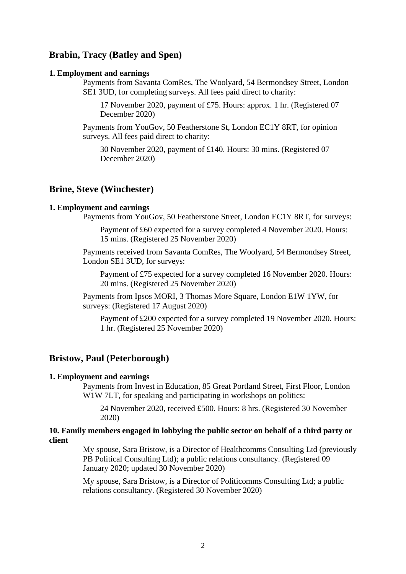# **Brabin, Tracy (Batley and Spen)**

#### **1. Employment and earnings**

Payments from Savanta ComRes, The Woolyard, 54 Bermondsey Street, London SE1 3UD, for completing surveys. All fees paid direct to charity:

17 November 2020, payment of £75. Hours: approx. 1 hr. (Registered 07 December 2020)

Payments from YouGov, 50 Featherstone St, London EC1Y 8RT, for opinion surveys. All fees paid direct to charity:

30 November 2020, payment of £140. Hours: 30 mins. (Registered 07 December 2020)

### **Brine, Steve (Winchester)**

#### **1. Employment and earnings**

Payments from YouGov, 50 Featherstone Street, London EC1Y 8RT, for surveys:

Payment of £60 expected for a survey completed 4 November 2020. Hours: 15 mins. (Registered 25 November 2020)

Payments received from Savanta ComRes, The Woolyard, 54 Bermondsey Street, London SE1 3UD, for surveys:

Payment of £75 expected for a survey completed 16 November 2020. Hours: 20 mins. (Registered 25 November 2020)

Payments from Ipsos MORI, 3 Thomas More Square, London E1W 1YW, for surveys: (Registered 17 August 2020)

Payment of £200 expected for a survey completed 19 November 2020. Hours: 1 hr. (Registered 25 November 2020)

### **Bristow, Paul (Peterborough)**

#### **1. Employment and earnings**

Payments from Invest in Education, 85 Great Portland Street, First Floor, London W<sub>1</sub>W 7LT, for speaking and participating in workshops on politics:

24 November 2020, received £500. Hours: 8 hrs. (Registered 30 November 2020)

### **10. Family members engaged in lobbying the public sector on behalf of a third party or client**

My spouse, Sara Bristow, is a Director of Healthcomms Consulting Ltd (previously PB Political Consulting Ltd); a public relations consultancy. (Registered 09 January 2020; updated 30 November 2020)

My spouse, Sara Bristow, is a Director of Politicomms Consulting Ltd; a public relations consultancy. (Registered 30 November 2020)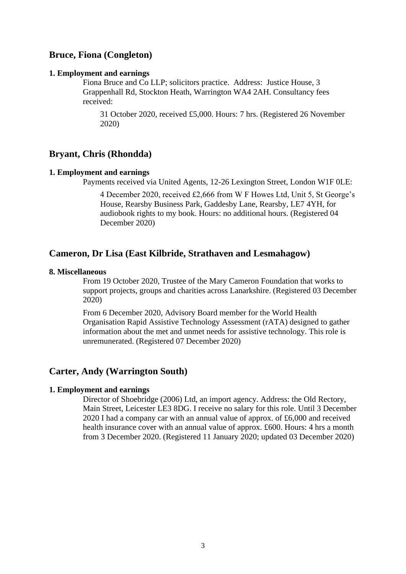# **Bruce, Fiona (Congleton)**

### **1. Employment and earnings**

Fiona Bruce and Co LLP; solicitors practice. Address: Justice House, 3 Grappenhall Rd, Stockton Heath, Warrington WA4 2AH. Consultancy fees received:

31 October 2020, received £5,000. Hours: 7 hrs. (Registered 26 November 2020)

### **Bryant, Chris (Rhondda)**

### **1. Employment and earnings**

Payments received via United Agents, 12-26 Lexington Street, London W1F 0LE:

4 December 2020, received £2,666 from W F Howes Ltd, Unit 5, St George's House, Rearsby Business Park, Gaddesby Lane, Rearsby, LE7 4YH, for audiobook rights to my book. Hours: no additional hours. (Registered 04 December 2020)

# **Cameron, Dr Lisa (East Kilbride, Strathaven and Lesmahagow)**

#### **8. Miscellaneous**

From 19 October 2020, Trustee of the Mary Cameron Foundation that works to support projects, groups and charities across Lanarkshire. (Registered 03 December 2020)

From 6 December 2020, Advisory Board member for the World Health Organisation Rapid Assistive Technology Assessment (rATA) designed to gather information about the met and unmet needs for assistive technology. This role is unremunerated. (Registered 07 December 2020)

### **Carter, Andy (Warrington South)**

### **1. Employment and earnings**

Director of Shoebridge (2006) Ltd, an import agency. Address: the Old Rectory, Main Street, Leicester LE3 8DG. I receive no salary for this role. Until 3 December 2020 I had a company car with an annual value of approx. of £6,000 and received health insurance cover with an annual value of approx. £600. Hours: 4 hrs a month from 3 December 2020. (Registered 11 January 2020; updated 03 December 2020)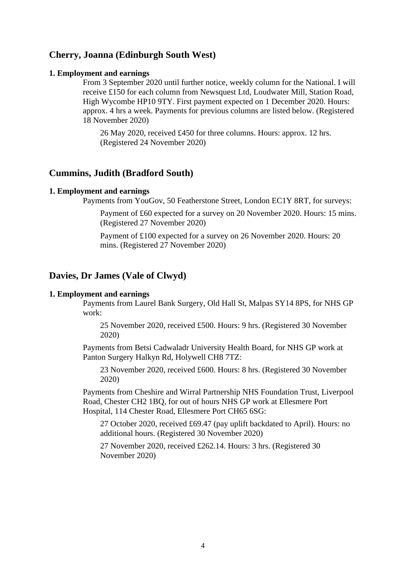# **Cherry, Joanna (Edinburgh South West)**

#### **1. Employment and earnings**

From 3 September 2020 until further notice, weekly column for the National. I will receive £150 for each column from Newsquest Ltd, Loudwater Mill, Station Road, High Wycombe HP10 9TY. First payment expected on 1 December 2020. Hours: approx. 4 hrs a week. Payments for previous columns are listed below. (Registered 18 November 2020)

26 May 2020, received £450 for three columns. Hours: approx. 12 hrs. (Registered 24 November 2020)

### **Cummins, Judith (Bradford South)**

### **1. Employment and earnings**

Payments from YouGov, 50 Featherstone Street, London EC1Y 8RT, for surveys:

Payment of £60 expected for a survey on 20 November 2020. Hours: 15 mins. (Registered 27 November 2020)

Payment of £100 expected for a survey on 26 November 2020. Hours: 20 mins. (Registered 27 November 2020)

### **Davies, Dr James (Vale of Clwyd)**

#### **1. Employment and earnings**

Payments from Laurel Bank Surgery, Old Hall St, Malpas SY14 8PS, for NHS GP work:

25 November 2020, received £500. Hours: 9 hrs. (Registered 30 November 2020)

Payments from Betsi Cadwaladr University Health Board, for NHS GP work at Panton Surgery Halkyn Rd, Holywell CH8 7TZ:

23 November 2020, received £600. Hours: 8 hrs. (Registered 30 November 2020)

Payments from Cheshire and Wirral Partnership NHS Foundation Trust, Liverpool Road, Chester CH2 1BQ, for out of hours NHS GP work at Ellesmere Port Hospital, 114 Chester Road, Ellesmere Port CH65 6SG:

27 October 2020, received £69.47 (pay uplift backdated to April). Hours: no additional hours. (Registered 30 November 2020)

27 November 2020, received £262.14. Hours: 3 hrs. (Registered 30 November 2020)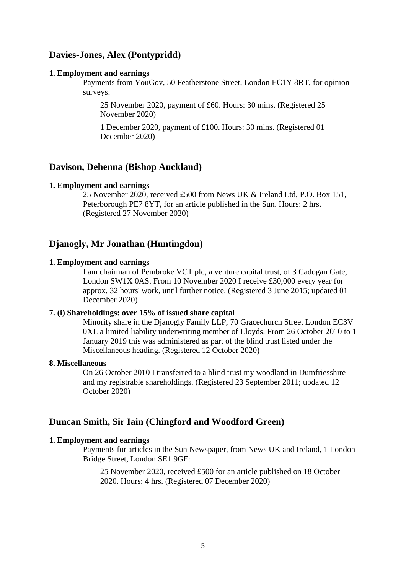# **Davies-Jones, Alex (Pontypridd)**

### **1. Employment and earnings**

Payments from YouGov, 50 Featherstone Street, London EC1Y 8RT, for opinion surveys:

25 November 2020, payment of £60. Hours: 30 mins. (Registered 25 November 2020)

1 December 2020, payment of £100. Hours: 30 mins. (Registered 01 December 2020)

## **Davison, Dehenna (Bishop Auckland)**

#### **1. Employment and earnings**

25 November 2020, received £500 from News UK & Ireland Ltd, P.O. Box 151, Peterborough PE7 8YT, for an article published in the Sun. Hours: 2 hrs. (Registered 27 November 2020)

# **Djanogly, Mr Jonathan (Huntingdon)**

### **1. Employment and earnings**

I am chairman of Pembroke VCT plc, a venture capital trust, of 3 Cadogan Gate, London SW1X 0AS. From 10 November 2020 I receive £30,000 every year for approx. 32 hours' work, until further notice. (Registered 3 June 2015; updated 01 December 2020)

### **7. (i) Shareholdings: over 15% of issued share capital**

Minority share in the Djanogly Family LLP, 70 Gracechurch Street London EC3V 0XL a limited liability underwriting member of Lloyds. From 26 October 2010 to 1 January 2019 this was administered as part of the blind trust listed under the Miscellaneous heading. (Registered 12 October 2020)

### **8. Miscellaneous**

On 26 October 2010 I transferred to a blind trust my woodland in Dumfriesshire and my registrable shareholdings. (Registered 23 September 2011; updated 12 October 2020)

# **Duncan Smith, Sir Iain (Chingford and Woodford Green)**

## **1. Employment and earnings**

Payments for articles in the Sun Newspaper, from News UK and Ireland, 1 London Bridge Street, London SE1 9GF:

25 November 2020, received £500 for an article published on 18 October 2020. Hours: 4 hrs. (Registered 07 December 2020)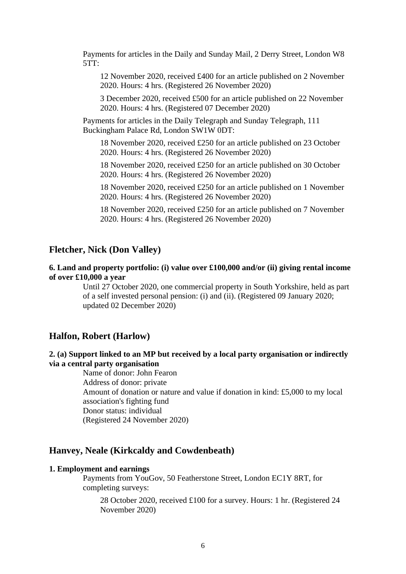Payments for articles in the Daily and Sunday Mail, 2 Derry Street, London W8  $5TT$ :

12 November 2020, received £400 for an article published on 2 November 2020. Hours: 4 hrs. (Registered 26 November 2020)

3 December 2020, received £500 for an article published on 22 November 2020. Hours: 4 hrs. (Registered 07 December 2020)

Payments for articles in the Daily Telegraph and Sunday Telegraph, 111 Buckingham Palace Rd, London SW1W 0DT:

18 November 2020, received £250 for an article published on 23 October 2020. Hours: 4 hrs. (Registered 26 November 2020)

18 November 2020, received £250 for an article published on 30 October 2020. Hours: 4 hrs. (Registered 26 November 2020)

18 November 2020, received £250 for an article published on 1 November 2020. Hours: 4 hrs. (Registered 26 November 2020)

18 November 2020, received £250 for an article published on 7 November 2020. Hours: 4 hrs. (Registered 26 November 2020)

### **Fletcher, Nick (Don Valley)**

### **6. Land and property portfolio: (i) value over £100,000 and/or (ii) giving rental income of over £10,000 a year**

Until 27 October 2020, one commercial property in South Yorkshire, held as part of a self invested personal pension: (i) and (ii). (Registered 09 January 2020; updated 02 December 2020)

### **Halfon, Robert (Harlow)**

# **2. (a) Support linked to an MP but received by a local party organisation or indirectly via a central party organisation**

Name of donor: John Fearon Address of donor: private Amount of donation or nature and value if donation in kind: £5,000 to my local association's fighting fund Donor status: individual (Registered 24 November 2020)

### **Hanvey, Neale (Kirkcaldy and Cowdenbeath)**

### **1. Employment and earnings**

Payments from YouGov, 50 Featherstone Street, London EC1Y 8RT, for completing surveys:

28 October 2020, received £100 for a survey. Hours: 1 hr. (Registered 24 November 2020)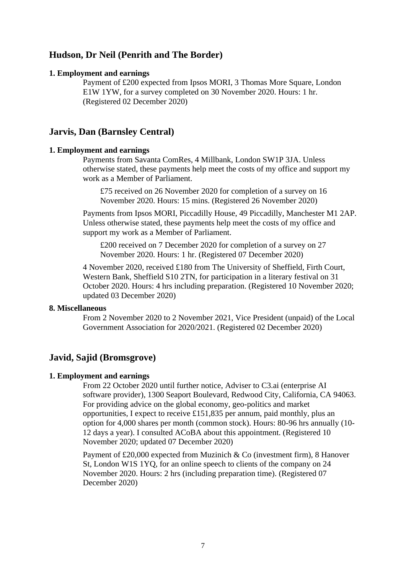# **Hudson, Dr Neil (Penrith and The Border)**

### **1. Employment and earnings**

Payment of £200 expected from Ipsos MORI, 3 Thomas More Square, London E1W 1YW, for a survey completed on 30 November 2020. Hours: 1 hr. (Registered 02 December 2020)

# **Jarvis, Dan (Barnsley Central)**

### **1. Employment and earnings**

Payments from Savanta ComRes, 4 Millbank, London SW1P 3JA. Unless otherwise stated, these payments help meet the costs of my office and support my work as a Member of Parliament.

£75 received on 26 November 2020 for completion of a survey on 16 November 2020. Hours: 15 mins. (Registered 26 November 2020)

Payments from Ipsos MORI, Piccadilly House, 49 Piccadilly, Manchester M1 2AP. Unless otherwise stated, these payments help meet the costs of my office and support my work as a Member of Parliament.

£200 received on 7 December 2020 for completion of a survey on 27 November 2020. Hours: 1 hr. (Registered 07 December 2020)

4 November 2020, received £180 from The University of Sheffield, Firth Court, Western Bank, Sheffield S10 2TN, for participation in a literary festival on 31 October 2020. Hours: 4 hrs including preparation. (Registered 10 November 2020; updated 03 December 2020)

### **8. Miscellaneous**

From 2 November 2020 to 2 November 2021, Vice President (unpaid) of the Local Government Association for 2020/2021. (Registered 02 December 2020)

# **Javid, Sajid (Bromsgrove)**

### **1. Employment and earnings**

From 22 October 2020 until further notice, Adviser to C3.ai (enterprise AI software provider), 1300 Seaport Boulevard, Redwood City, California, CA 94063. For providing advice on the global economy, geo-politics and market opportunities, I expect to receive £151,835 per annum, paid monthly, plus an option for 4,000 shares per month (common stock). Hours: 80-96 hrs annually (10- 12 days a year). I consulted ACoBA about this appointment. (Registered 10 November 2020; updated 07 December 2020)

Payment of £20,000 expected from Muzinich & Co (investment firm), 8 Hanover St, London W1S 1YQ, for an online speech to clients of the company on 24 November 2020. Hours: 2 hrs (including preparation time). (Registered 07 December 2020)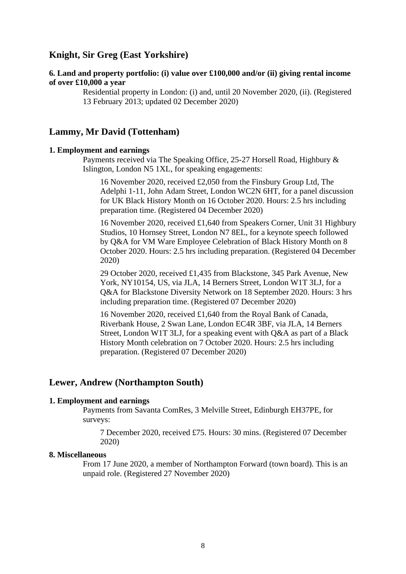# **Knight, Sir Greg (East Yorkshire)**

# **6. Land and property portfolio: (i) value over £100,000 and/or (ii) giving rental income of over £10,000 a year**

Residential property in London: (i) and, until 20 November 2020, (ii). (Registered 13 February 2013; updated 02 December 2020)

# **Lammy, Mr David (Tottenham)**

### **1. Employment and earnings**

Payments received via The Speaking Office, 25-27 Horsell Road, Highbury & Islington, London N5 1XL, for speaking engagements:

16 November 2020, received £2,050 from the Finsbury Group Ltd, The Adelphi 1-11, John Adam Street, London WC2N 6HT, for a panel discussion for UK Black History Month on 16 October 2020. Hours: 2.5 hrs including preparation time. (Registered 04 December 2020)

16 November 2020, received £1,640 from Speakers Corner, Unit 31 Highbury Studios, 10 Hornsey Street, London N7 8EL, for a keynote speech followed by Q&A for VM Ware Employee Celebration of Black History Month on 8 October 2020. Hours: 2.5 hrs including preparation. (Registered 04 December 2020)

29 October 2020, received £1,435 from Blackstone, 345 Park Avenue, New York, NY10154, US, via JLA, 14 Berners Street, London W1T 3LJ, for a Q&A for Blackstone Diversity Network on 18 September 2020. Hours: 3 hrs including preparation time. (Registered 07 December 2020)

16 November 2020, received £1,640 from the Royal Bank of Canada, Riverbank House, 2 Swan Lane, London EC4R 3BF, via JLA, 14 Berners Street, London W1T 3LJ, for a speaking event with Q&A as part of a Black History Month celebration on 7 October 2020. Hours: 2.5 hrs including preparation. (Registered 07 December 2020)

### **Lewer, Andrew (Northampton South)**

#### **1. Employment and earnings**

Payments from Savanta ComRes, 3 Melville Street, Edinburgh EH37PE, for surveys:

7 December 2020, received £75. Hours: 30 mins. (Registered 07 December 2020)

#### **8. Miscellaneous**

From 17 June 2020, a member of Northampton Forward (town board). This is an unpaid role. (Registered 27 November 2020)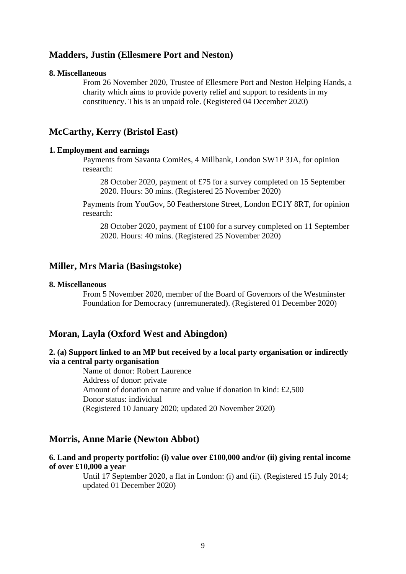## **Madders, Justin (Ellesmere Port and Neston)**

#### **8. Miscellaneous**

From 26 November 2020, Trustee of Ellesmere Port and Neston Helping Hands, a charity which aims to provide poverty relief and support to residents in my constituency. This is an unpaid role. (Registered 04 December 2020)

# **McCarthy, Kerry (Bristol East)**

### **1. Employment and earnings**

Payments from Savanta ComRes, 4 Millbank, London SW1P 3JA, for opinion research:

28 October 2020, payment of £75 for a survey completed on 15 September 2020. Hours: 30 mins. (Registered 25 November 2020)

Payments from YouGov, 50 Featherstone Street, London EC1Y 8RT, for opinion research:

28 October 2020, payment of £100 for a survey completed on 11 September 2020. Hours: 40 mins. (Registered 25 November 2020)

### **Miller, Mrs Maria (Basingstoke)**

### **8. Miscellaneous**

From 5 November 2020, member of the Board of Governors of the Westminster Foundation for Democracy (unremunerated). (Registered 01 December 2020)

# **Moran, Layla (Oxford West and Abingdon)**

### **2. (a) Support linked to an MP but received by a local party organisation or indirectly via a central party organisation**

Name of donor: Robert Laurence Address of donor: private Amount of donation or nature and value if donation in kind: £2,500 Donor status: individual (Registered 10 January 2020; updated 20 November 2020)

# **Morris, Anne Marie (Newton Abbot)**

### **6. Land and property portfolio: (i) value over £100,000 and/or (ii) giving rental income of over £10,000 a year**

Until 17 September 2020, a flat in London: (i) and (ii). (Registered 15 July 2014; updated 01 December 2020)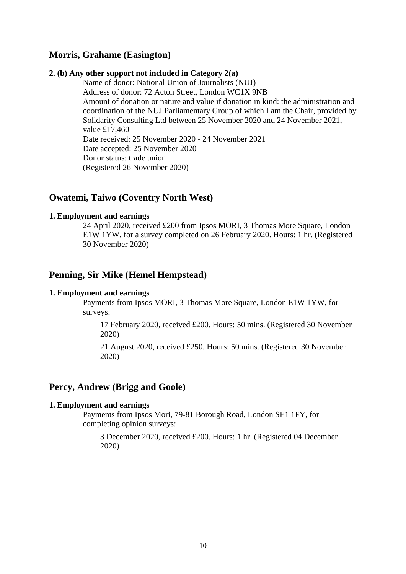# **Morris, Grahame (Easington)**

### **2. (b) Any other support not included in Category 2(a)**

Name of donor: National Union of Journalists (NUJ) Address of donor: 72 Acton Street, London WC1X 9NB Amount of donation or nature and value if donation in kind: the administration and coordination of the NUJ Parliamentary Group of which I am the Chair, provided by Solidarity Consulting Ltd between 25 November 2020 and 24 November 2021, value £17,460 Date received: 25 November 2020 - 24 November 2021 Date accepted: 25 November 2020 Donor status: trade union (Registered 26 November 2020)

# **Owatemi, Taiwo (Coventry North West)**

### **1. Employment and earnings**

24 April 2020, received £200 from Ipsos MORI, 3 Thomas More Square, London E1W 1YW, for a survey completed on 26 February 2020. Hours: 1 hr. (Registered 30 November 2020)

## **Penning, Sir Mike (Hemel Hempstead)**

#### **1. Employment and earnings**

Payments from Ipsos MORI, 3 Thomas More Square, London E1W 1YW, for surveys:

17 February 2020, received £200. Hours: 50 mins. (Registered 30 November 2020)

21 August 2020, received £250. Hours: 50 mins. (Registered 30 November 2020)

### **Percy, Andrew (Brigg and Goole)**

#### **1. Employment and earnings**

Payments from Ipsos Mori, 79-81 Borough Road, London SE1 1FY, for completing opinion surveys:

3 December 2020, received £200. Hours: 1 hr. (Registered 04 December 2020)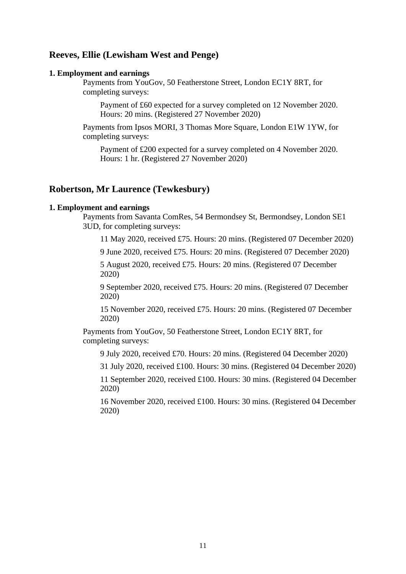# **Reeves, Ellie (Lewisham West and Penge)**

### **1. Employment and earnings**

Payments from YouGov, 50 Featherstone Street, London EC1Y 8RT, for completing surveys:

Payment of £60 expected for a survey completed on 12 November 2020. Hours: 20 mins. (Registered 27 November 2020)

Payments from Ipsos MORI, 3 Thomas More Square, London E1W 1YW, for completing surveys:

Payment of £200 expected for a survey completed on 4 November 2020. Hours: 1 hr. (Registered 27 November 2020)

### **Robertson, Mr Laurence (Tewkesbury)**

### **1. Employment and earnings**

Payments from Savanta ComRes, 54 Bermondsey St, Bermondsey, London SE1 3UD, for completing surveys:

11 May 2020, received £75. Hours: 20 mins. (Registered 07 December 2020)

9 June 2020, received £75. Hours: 20 mins. (Registered 07 December 2020)

5 August 2020, received £75. Hours: 20 mins. (Registered 07 December 2020)

9 September 2020, received £75. Hours: 20 mins. (Registered 07 December 2020)

15 November 2020, received £75. Hours: 20 mins. (Registered 07 December 2020)

Payments from YouGov, 50 Featherstone Street, London EC1Y 8RT, for completing surveys:

9 July 2020, received £70. Hours: 20 mins. (Registered 04 December 2020)

31 July 2020, received £100. Hours: 30 mins. (Registered 04 December 2020)

11 September 2020, received £100. Hours: 30 mins. (Registered 04 December 2020)

16 November 2020, received £100. Hours: 30 mins. (Registered 04 December 2020)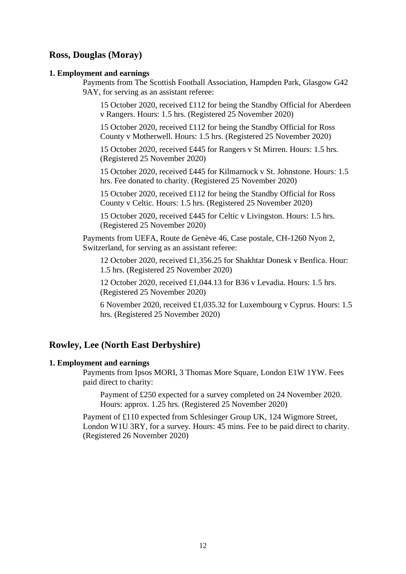# **Ross, Douglas (Moray)**

### **1. Employment and earnings**

Payments from The Scottish Football Association, Hampden Park, Glasgow G42 9AY, for serving as an assistant referee:

15 October 2020, received £112 for being the Standby Official for Aberdeen v Rangers. Hours: 1.5 hrs. (Registered 25 November 2020)

15 October 2020, received £112 for being the Standby Official for Ross County v Motherwell. Hours: 1.5 hrs. (Registered 25 November 2020)

15 October 2020, received £445 for Rangers v St Mirren. Hours: 1.5 hrs. (Registered 25 November 2020)

15 October 2020, received £445 for Kilmarnock v St. Johnstone. Hours: 1.5 hrs. Fee donated to charity. (Registered 25 November 2020)

15 October 2020, received £112 for being the Standby Official for Ross County v Celtic. Hours: 1.5 hrs. (Registered 25 November 2020)

15 October 2020, received £445 for Celtic v Livingston. Hours: 1.5 hrs. (Registered 25 November 2020)

Payments from UEFA, Route de Genève 46, Case postale, CH-1260 Nyon 2, Switzerland, for serving as an assistant referee:

12 October 2020, received £1,356.25 for Shakhtar Donesk v Benfica. Hour: 1.5 hrs. (Registered 25 November 2020)

12 October 2020, received £1,044.13 for B36 v Levadia. Hours: 1.5 hrs. (Registered 25 November 2020)

6 November 2020, received £1,035.32 for Luxembourg v Cyprus. Hours: 1.5 hrs. (Registered 25 November 2020)

# **Rowley, Lee (North East Derbyshire)**

#### **1. Employment and earnings**

Payments from Ipsos MORI, 3 Thomas More Square, London E1W 1YW. Fees paid direct to charity:

Payment of £250 expected for a survey completed on 24 November 2020. Hours: approx. 1.25 hrs. (Registered 25 November 2020)

Payment of £110 expected from Schlesinger Group UK, 124 Wigmore Street, London W1U 3RY, for a survey. Hours: 45 mins. Fee to be paid direct to charity. (Registered 26 November 2020)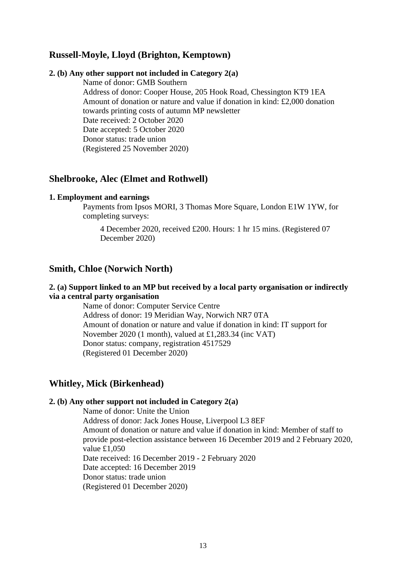# **Russell-Moyle, Lloyd (Brighton, Kemptown)**

### **2. (b) Any other support not included in Category 2(a)**

Name of donor: GMB Southern Address of donor: Cooper House, 205 Hook Road, Chessington KT9 1EA Amount of donation or nature and value if donation in kind: £2,000 donation towards printing costs of autumn MP newsletter Date received: 2 October 2020 Date accepted: 5 October 2020 Donor status: trade union (Registered 25 November 2020)

### **Shelbrooke, Alec (Elmet and Rothwell)**

### **1. Employment and earnings**

Payments from Ipsos MORI, 3 Thomas More Square, London E1W 1YW, for completing surveys:

4 December 2020, received £200. Hours: 1 hr 15 mins. (Registered 07 December 2020)

### **Smith, Chloe (Norwich North)**

### **2. (a) Support linked to an MP but received by a local party organisation or indirectly via a central party organisation**

Name of donor: Computer Service Centre Address of donor: 19 Meridian Way, Norwich NR7 0TA Amount of donation or nature and value if donation in kind: IT support for November 2020 (1 month), valued at £1,283.34 (inc VAT) Donor status: company, registration 4517529 (Registered 01 December 2020)

### **Whitley, Mick (Birkenhead)**

#### **2. (b) Any other support not included in Category 2(a)**

Name of donor: Unite the Union Address of donor: Jack Jones House, Liverpool L3 8EF Amount of donation or nature and value if donation in kind: Member of staff to provide post-election assistance between 16 December 2019 and 2 February 2020, value £1,050 Date received: 16 December 2019 - 2 February 2020 Date accepted: 16 December 2019 Donor status: trade union (Registered 01 December 2020)